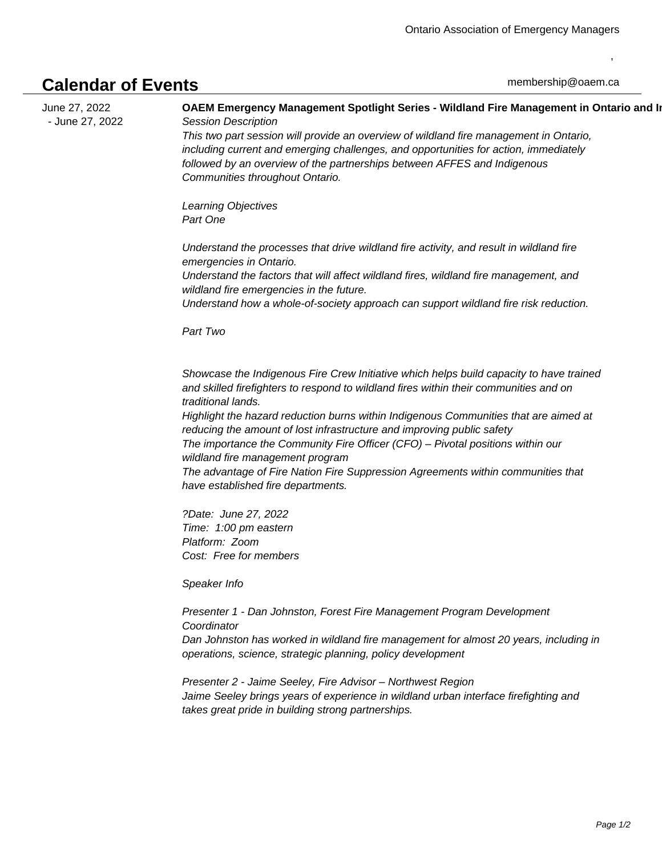## **Calendar of Events**

,

June 27, 2022 - June 27, 2022 **OAEM Emergency Management Spotlight Series - Wildland Fire Management in Ontario and In** Session Description

This two part session will provide an overview of wildland fire management in Ontario, including current and emerging challenges, and opportunities for action, immediately followed by an overview of the partnerships between AFFES and Indigenous Communities throughout Ontario.

Learning Objectives Part One

 Understand the processes that drive wildland fire activity, and result in wildland fire emergencies in Ontario.

 Understand the factors that will affect wildland fires, wildland fire management, and wildland fire emergencies in the future.

 Understand how a whole-of-society approach can support wildland fire risk reduction.

Part Two

 Showcase the Indigenous Fire Crew Initiative which helps build capacity to have trained and skilled firefighters to respond to wildland fires within their communities and on traditional lands.

 Highlight the hazard reduction burns within Indigenous Communities that are aimed at reducing the amount of lost infrastructure and improving public safety The importance the Community Fire Officer (CFO) – Pivotal positions within our wildland fire management program

 The advantage of Fire Nation Fire Suppression Agreements within communities that have established fire departments.

?Date: June 27, 2022 Time: 1:00 pm eastern Platform: Zoom Cost: Free for members

Speaker Info

Presenter 1 - Dan Johnston, Forest Fire Management Program Development **Coordinator** Dan Johnston has worked in wildland fire management for almost 20 years, including in operations, science, strategic planning, policy development

Presenter 2 - Jaime Seeley, Fire Advisor – Northwest Region Jaime Seeley brings years of experience in wildland urban interface firefighting and takes great pride in building strong partnerships.